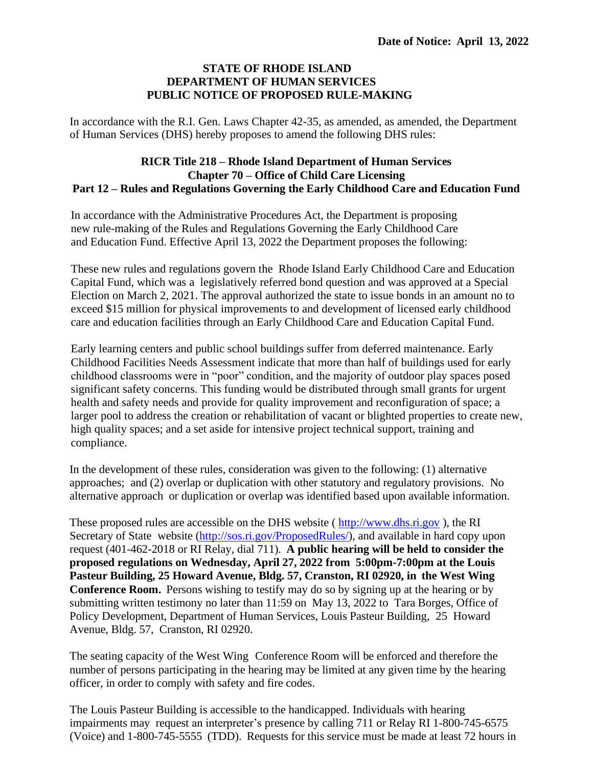## **STATE OF RHODE ISLAND DEPARTMENT OF HUMAN SERVICES PUBLIC NOTICE OF PROPOSED RULE-MAKING**

In accordance with the R.I. Gen. Laws Chapter 42-35, as amended, as amended, the Department of Human Services (DHS) hereby proposes to amend the following DHS rules:

## **RICR Title 218 – Rhode Island Department of Human Services Chapter 70 – Office of Child Care Licensing Part 12 – Rules and Regulations Governing the Early Childhood Care and Education Fund**

In accordance with the Administrative Procedures Act, the Department is proposing new rule-making of the Rules and Regulations Governing the Early Childhood Care and Education Fund. Effective April 13, 2022 the Department proposes the following:

These new rules and regulations govern the Rhode Island Early Childhood Care and Education Capital Fund, which was a legislatively referred bond question and was approved at a Special Election on March 2, 2021. The approval authorized the state to issue bonds in an amount no to exceed \$15 million for physical improvements to and development of licensed early childhood care and education facilities through an Early Childhood Care and Education Capital Fund.

Early learning centers and public school buildings suffer from deferred maintenance. Early Childhood Facilities Needs Assessment indicate that more than half of buildings used for early childhood classrooms were in "poor" condition, and the majority of outdoor play spaces posed significant safety concerns. This funding would be distributed through small grants for urgent health and safety needs and provide for quality improvement and reconfiguration of space; a larger pool to address the creation or rehabilitation of vacant or blighted properties to create new, high quality spaces; and a set aside for intensive project technical support, training and compliance.

In the development of these rules, consideration was given to the following: (1) alternative approaches; and (2) overlap or duplication with other statutory and regulatory provisions. No alternative approach or duplication or overlap was identified based upon available information.

These proposed rules are accessible on the DHS website ( [http://www.dhs.ri.gov](http://www.dhs.ri.gov/) ), the RI Secretary of State website [\(http://sos.ri.gov/ProposedRules/\)](http://sos.ri.gov/ProposedRules/), and available in hard copy upon request (401-462-2018 or RI Relay, dial 711). **A public hearing will be held to consider the proposed regulations on Wednesday, April 27, 2022 from 5:00pm-7:00pm at the Louis Pasteur Building, 25 Howard Avenue, Bldg. 57, Cranston, RI 02920, in the West Wing Conference Room.** Persons wishing to testify may do so by signing up at the hearing or by submitting written testimony no later than 11:59 on May 13, 2022 to Tara Borges, Office of Policy Development, Department of Human Services, Louis Pasteur Building, 25 Howard Avenue, Bldg. 57, Cranston, RI 02920.

The seating capacity of the West Wing Conference Room will be enforced and therefore the number of persons participating in the hearing may be limited at any given time by the hearing officer, in order to comply with safety and fire codes.

The Louis Pasteur Building is accessible to the handicapped. Individuals with hearing impairments may request an interpreter's presence by calling 711 or Relay RI 1-800-745-6575 (Voice) and 1-800-745-5555 (TDD). Requests for this service must be made at least 72 hours in